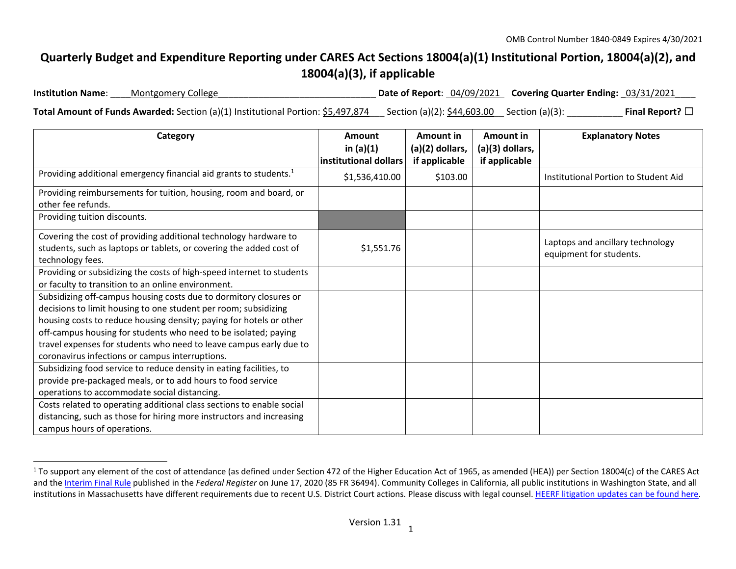## **Quarterly Budget and Expenditure Reporting under CARES Act Sections 18004(a)(1) Institutional Portion, 18004(a)(2), and 18004(a)(3), if applicable**

| <b>Institution Name:</b> | <b>Montgomery College</b> | <b>Date of Report: 04/09/2021</b> | <b>Covering Quarter Ending: 03/31/2021</b> |  |
|--------------------------|---------------------------|-----------------------------------|--------------------------------------------|--|
|                          |                           |                                   |                                            |  |

**Total Amount of Funds Awarded:** Section (a)(1) Institutional Portion: \$5,497,874\_\_\_ Section (a)(2): \$44,603.00\_\_ Section (a)(3): \_\_\_\_\_\_\_\_\_\_\_ **Final Report?** ☐

| Category                                                                                | Amount<br>in $(a)(1)$ | Amount in<br>(a)(2) dollars, | Amount in<br>(a)(3) dollars, | <b>Explanatory Notes</b>             |
|-----------------------------------------------------------------------------------------|-----------------------|------------------------------|------------------------------|--------------------------------------|
|                                                                                         | institutional dollars | if applicable                | if applicable                |                                      |
| Providing additional emergency financial aid grants to students. <sup>1</sup>           | \$1,536,410.00        | \$103.00                     |                              | Institutional Portion to Student Aid |
| Providing reimbursements for tuition, housing, room and board, or<br>other fee refunds. |                       |                              |                              |                                      |
| Providing tuition discounts.                                                            |                       |                              |                              |                                      |
| Covering the cost of providing additional technology hardware to                        |                       |                              |                              | Laptops and ancillary technology     |
| students, such as laptops or tablets, or covering the added cost of                     | \$1,551.76            |                              |                              | equipment for students.              |
| technology fees.                                                                        |                       |                              |                              |                                      |
| Providing or subsidizing the costs of high-speed internet to students                   |                       |                              |                              |                                      |
| or faculty to transition to an online environment.                                      |                       |                              |                              |                                      |
| Subsidizing off-campus housing costs due to dormitory closures or                       |                       |                              |                              |                                      |
| decisions to limit housing to one student per room; subsidizing                         |                       |                              |                              |                                      |
| housing costs to reduce housing density; paying for hotels or other                     |                       |                              |                              |                                      |
| off-campus housing for students who need to be isolated; paying                         |                       |                              |                              |                                      |
| travel expenses for students who need to leave campus early due to                      |                       |                              |                              |                                      |
| coronavirus infections or campus interruptions.                                         |                       |                              |                              |                                      |
| Subsidizing food service to reduce density in eating facilities, to                     |                       |                              |                              |                                      |
| provide pre-packaged meals, or to add hours to food service                             |                       |                              |                              |                                      |
| operations to accommodate social distancing.                                            |                       |                              |                              |                                      |
| Costs related to operating additional class sections to enable social                   |                       |                              |                              |                                      |
| distancing, such as those for hiring more instructors and increasing                    |                       |                              |                              |                                      |
| campus hours of operations.                                                             |                       |                              |                              |                                      |

<sup>&</sup>lt;sup>1</sup> To support any element of the cost of attendance (as defined under Section 472 of the Higher Education Act of 1965, as amended (HEA)) per Section 18004(c) of the CARES Act and the Interim Final Rule published in the *Federal Register* on June 17, 2020 (85 FR 36494). Community Colleges in California, all public institutions in Washington State, and all institutions in Massachusetts have different requirements due to recent U.S. District Court actions. Please discuss with legal counsel. HEERF litigation updates can be found here.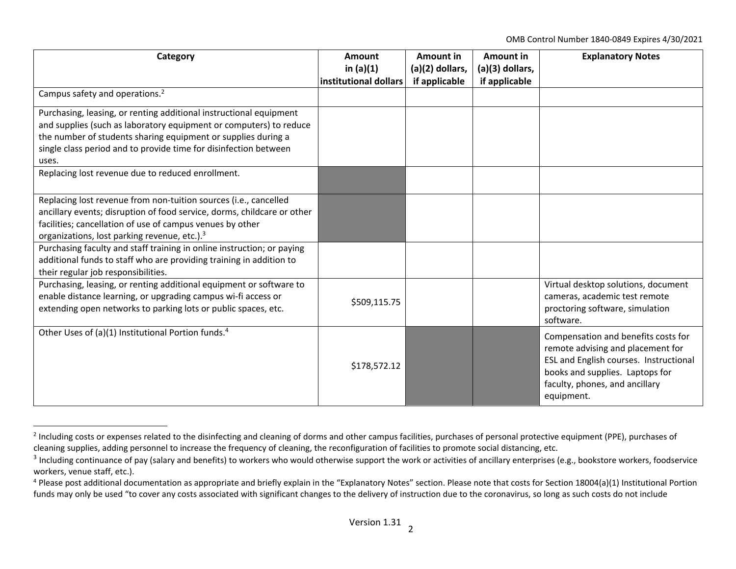OMB Control Number 1840‐0849 Expires 4/30/2021

| Category                                                                                                                                                                                                                                                                               | Amount<br>in $(a)(1)$<br>institutional dollars | Amount in<br>$(a)(2)$ dollars,<br>if applicable | Amount in<br>(a)(3) dollars,<br>if applicable | <b>Explanatory Notes</b>                                                                                                                                                                              |
|----------------------------------------------------------------------------------------------------------------------------------------------------------------------------------------------------------------------------------------------------------------------------------------|------------------------------------------------|-------------------------------------------------|-----------------------------------------------|-------------------------------------------------------------------------------------------------------------------------------------------------------------------------------------------------------|
| Campus safety and operations. <sup>2</sup>                                                                                                                                                                                                                                             |                                                |                                                 |                                               |                                                                                                                                                                                                       |
| Purchasing, leasing, or renting additional instructional equipment<br>and supplies (such as laboratory equipment or computers) to reduce<br>the number of students sharing equipment or supplies during a<br>single class period and to provide time for disinfection between<br>uses. |                                                |                                                 |                                               |                                                                                                                                                                                                       |
| Replacing lost revenue due to reduced enrollment.                                                                                                                                                                                                                                      |                                                |                                                 |                                               |                                                                                                                                                                                                       |
| Replacing lost revenue from non-tuition sources (i.e., cancelled<br>ancillary events; disruption of food service, dorms, childcare or other<br>facilities; cancellation of use of campus venues by other<br>organizations, lost parking revenue, etc.). <sup>3</sup>                   |                                                |                                                 |                                               |                                                                                                                                                                                                       |
| Purchasing faculty and staff training in online instruction; or paying<br>additional funds to staff who are providing training in addition to<br>their regular job responsibilities.                                                                                                   |                                                |                                                 |                                               |                                                                                                                                                                                                       |
| Purchasing, leasing, or renting additional equipment or software to<br>enable distance learning, or upgrading campus wi-fi access or<br>extending open networks to parking lots or public spaces, etc.                                                                                 | \$509,115.75                                   |                                                 |                                               | Virtual desktop solutions, document<br>cameras, academic test remote<br>proctoring software, simulation<br>software.                                                                                  |
| Other Uses of (a)(1) Institutional Portion funds. <sup>4</sup>                                                                                                                                                                                                                         | \$178,572.12                                   |                                                 |                                               | Compensation and benefits costs for<br>remote advising and placement for<br>ESL and English courses. Instructional<br>books and supplies. Laptops for<br>faculty, phones, and ancillary<br>equipment. |

<sup>&</sup>lt;sup>2</sup> Including costs or expenses related to the disinfecting and cleaning of dorms and other campus facilities, purchases of personal protective equipment (PPE), purchases of cleaning supplies, adding personnel to increase the frequency of cleaning, the reconfiguration of facilities to promote social distancing, etc.

<sup>&</sup>lt;sup>3</sup> Including continuance of pay (salary and benefits) to workers who would otherwise support the work or activities of ancillary enterprises (e.g., bookstore workers, foodservice workers, venue staff, etc.).

<sup>&</sup>lt;sup>4</sup> Please post additional documentation as appropriate and briefly explain in the "Explanatory Notes" section. Please note that costs for Section 18004(a)(1) Institutional Portion funds may only be used "to cover any costs associated with significant changes to the delivery of instruction due to the coronavirus, so long as such costs do not include